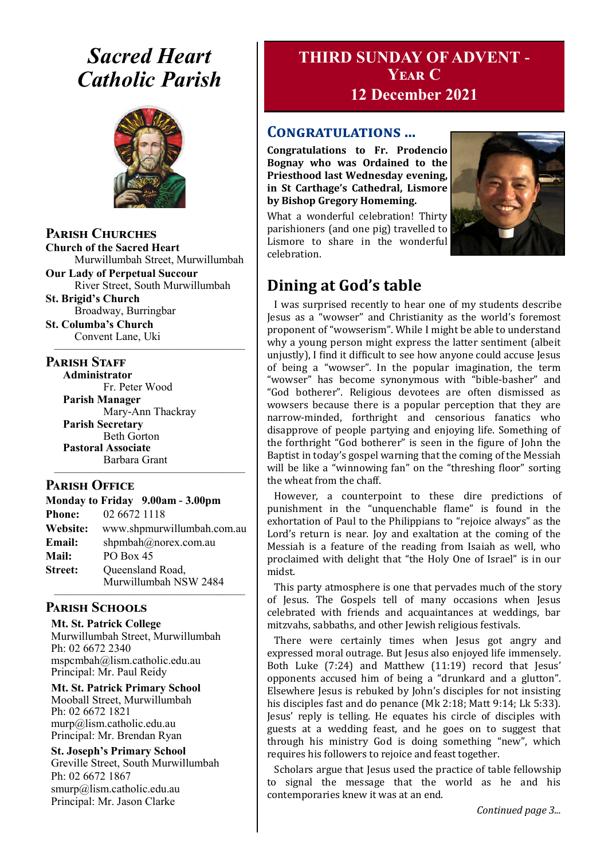## *Sacred Heart Catholic Parish*



### **Parish Churches**

**Church of the Sacred Heart** Murwillumbah Street, Murwillumbah

**Our Lady of Perpetual Succour** River Street, South Murwillumbah **St. Brigid's Church**

Broadway, Burringbar **St. Columba's Church**

Convent Lane, Uki —————————————————

### **PARISH STAFF**

**Administrator** Fr. Peter Wood **Parish Manager**

Mary-Ann Thackray **Parish Secretary** Beth Gorton **Pastoral Associate** Barbara Grant

### **Parish Office**

**Monday to Friday 9.00am - 3.00pm Phone:** 02 6672 1118 **Website:** www.shpmurwillumbah.com.au **Email:** shpmbah@norex.com.au **Mail:** PO Box 45 **Street:** Oueensland Road, Murwillumbah NSW 2484

—————————————————

#### ————————————————— **Parish Schools**

**Mt. St. Patrick College** Murwillumbah Street, Murwillumbah Ph: 02 6672 2340 mspcmbah@lism.catholic.edu.au Principal: Mr. Paul Reidy

**Mt. St. Patrick Primary School** Mooball Street, Murwillumbah Ph: 02 6672 1821 murp@lism.catholic.edu.au Principal: Mr. Brendan Ryan

**St. Joseph's Primary School** Greville Street, South Murwillumbah Ph: 02 6672 1867 smurp@lism.catholic.edu.au Principal: Mr. Jason Clarke

## **THIRD SUNDAY OF ADVENT - Year C 12 December 2021**

### **Congratulations ...**

**Congratulations to Fr. Prodencio Bognay who was Ordained to the Priesthood last Wednesday evening, in St Carthage's Cathedral, Lismore by Bishop Gregory Homeming.** 

What a wonderful celebration! Thirty parishioners (and one pig) travelled to Lismore to share in the wonderful celebration.



## **Dining at God's table**

I was surprised recently to hear one of my students describe Jesus as a "wowser" and Christianity as the world's foremost proponent of "wowserism". While I might be able to understand why a young person might express the latter sentiment (albeit unjustly), I find it difficult to see how anyone could accuse Jesus of being a "wowser". In the popular imagination, the term "wowser" has become synonymous with "bible-basher" and "God botherer". Religious devotees are often dismissed as wowsers because there is a popular perception that they are narrow-minded, forthright and censorious fanatics who disapprove of people partying and enjoying life. Something of the forthright "God botherer" is seen in the figure of John the Baptist in today's gospel warning that the coming of the Messiah will be like a "winnowing fan" on the "threshing floor" sorting the wheat from the chaff.

However, a counterpoint to these dire predictions of punishment in the "unquenchable flame" is found in the exhortation of Paul to the Philippians to "rejoice always" as the Lord's return is near. Joy and exaltation at the coming of the Messiah is a feature of the reading from Isaiah as well, who proclaimed with delight that "the Holy One of Israel" is in our midst.

This party atmosphere is one that pervades much of the story of Jesus. The Gospels tell of many occasions when Jesus celebrated with friends and acquaintances at weddings, bar mitzvahs, sabbaths, and other Jewish religious festivals.

There were certainly times when Jesus got angry and expressed moral outrage. But Jesus also enjoyed life immensely. Both Luke (7:24) and Matthew (11:19) record that Jesus' opponents accused him of being a "drunkard and a glutton". Elsewhere Jesus is rebuked by John's disciples for not insisting his disciples fast and do penance (Mk 2:18; Matt 9:14; Lk 5:33). Jesus' reply is telling. He equates his circle of disciples with guests at a wedding feast, and he goes on to suggest that through his ministry God is doing something "new", which requires his followers to rejoice and feast together.

Scholars argue that Jesus used the practice of table fellowship to signal the message that the world as he and his contemporaries knew it was at an end.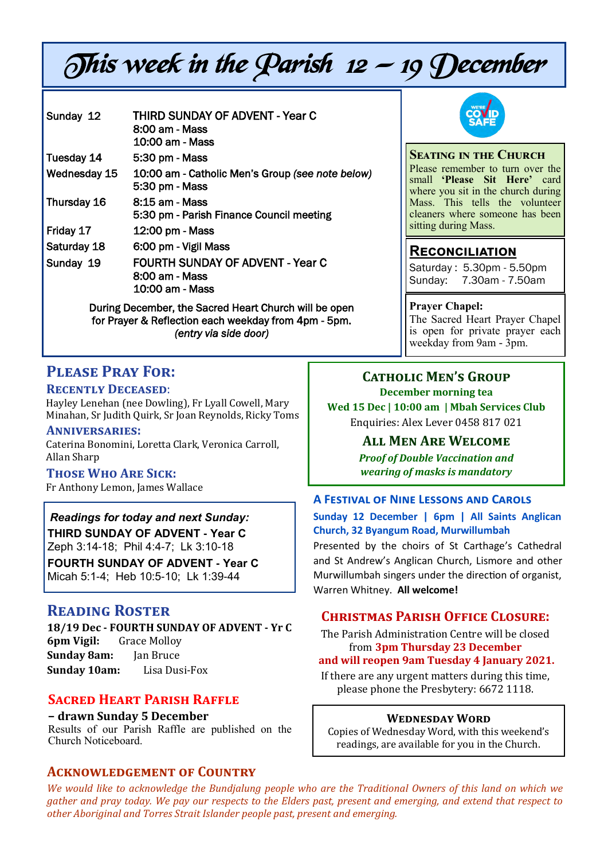# This week in the Parish 12 — 19 December

| Sunday 12    | <b>THIRD SUNDAY OF ADVENT - Year C</b>                |
|--------------|-------------------------------------------------------|
|              | 8:00 am - Mass                                        |
|              | 10:00 am - Mass                                       |
| Tuesday 14   | 5:30 pm - Mass                                        |
| Wednesday 15 | 10:00 am - Catholic Men's Group (see note below)      |
|              | 5:30 pm - Mass                                        |
| Thursday 16  | 8:15 am - Mass                                        |
|              | 5:30 pm - Parish Finance Council meeting              |
| Friday 17    | 12:00 pm - Mass                                       |
| Saturday 18  | 6:00 pm - Vigil Mass                                  |
| Sunday 19    | <b>FOURTH SUNDAY OF ADVENT - Year C</b>               |
|              | 8:00 am - Mass                                        |
|              | 10:00 am - Mass                                       |
|              | During December, the Sacred Heart Church will be open |

During December, the Sacred Heart Church will be open for Prayer & Reflection each weekday from 4pm - 5pm. *(entry via side door)*

## **Please Pray For:**

### **Recently Deceased**:

Hayley Lenehan (nee Dowling), Fr Lyall Cowell, Mary Minahan, Sr Judith Quirk, Sr Joan Reynolds, Ricky Toms

### **Anniversaries:**

Caterina Bonomini, Loretta Clark, Veronica Carroll, Allan Sharp

### **Those Who Are Sick:**

Fr Anthony Lemon, James Wallace

*Readings for today and next Sunday:*  **THIRD SUNDAY OF ADVENT - Year C**  Zeph 3:14-18; Phil 4:4-7; Lk 3:10-18

**FOURTH SUNDAY OF ADVENT - Year C**  Micah 5:1-4; Heb 10:5-10; Lk 1:39-44

### **Reading Roster**

**18/19 Dec - FOURTH SUNDAY OF ADVENT - Yr C 6pm Vigil:** Grace Molloy **Sunday 8am:** Jan Bruce **Sunday 10am:** Lisa Dusi-Fox

### **Sacred Heart Parish Raffle**

**– drawn Sunday 5 December** Results of our Parish Raffle are published on the Church Noticeboard.

### **Acknowledgement of Country**



## **Seating in the Church**

Please remember to turn over the small **'Please Sit Here'** card where you sit in the church during Mass. This tells the volunteer cleaners where someone has been sitting during Mass.

### **Reconciliation**

Saturday : 5.30pm - 5.50pm Sunday: 7.30am - 7.50am

### **Prayer Chapel:**

The Sacred Heart Prayer Chapel is open for private prayer each weekday from 9am - 3pm.

### **Catholic Men's Group December morning tea Wed 15 Dec | 10:00 am | Mbah Services Club** Enquiries: Alex Lever 0458 817 021

**All Men Are Welcome**

*Proof of Double Vaccination and wearing of masks is mandatory* 

## **A Festival of Nine Lessons and Carols**

**Sunday 12 December | 6pm | All Saints Anglican Church, 32 Byangum Road, Murwillumbah**

Presented by the choirs of St Carthage's Cathedral and St Andrew's Anglican Church, Lismore and other Murwillumbah singers under the direction of organist, Warren Whitney. **All welcome!**

### **Christmas Parish Office Closure:**

The Parish Administration Centre will be closed from **3pm Thursday 23 December**

### **and will reopen 9am Tuesday 4 January 2021.**  If there are any urgent matters during this time,

please phone the Presbytery: 6672 1118.

### **Wednesday Word**

Copies of Wednesday Word, with this weekend's readings, are available for you in the Church.

*We would like to acknowledge the Bundjalung people who are the Traditional Owners of this land on which we gather and pray today. We pay our respects to the Elders past, present and emerging, and extend that respect to other Aboriginal and Torres Strait Islander people past, present and emerging.*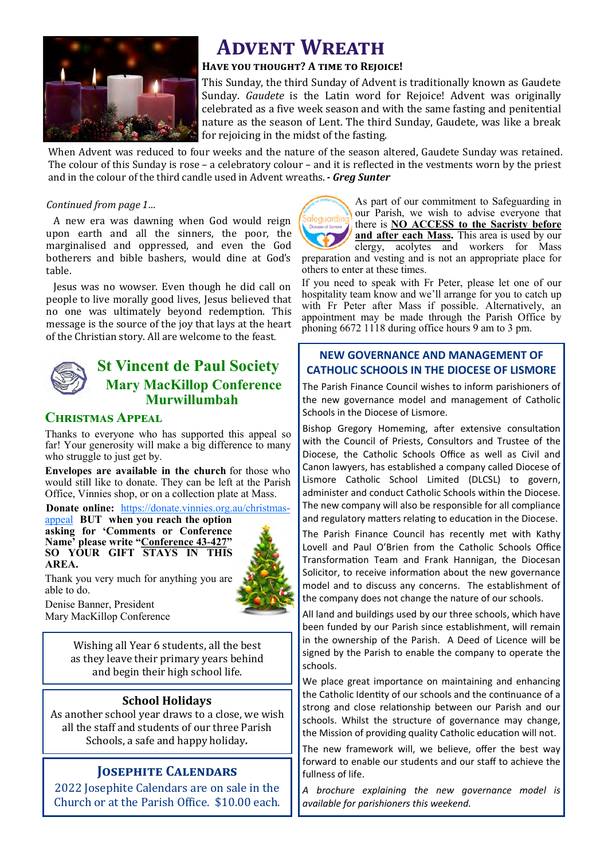

## **ADVENT WREATH**

### **Have you thought? A time to Rejoice!**

This Sunday, the third Sunday of Advent is traditionally known as Gaudete Sunday. *Gaudete* is the Latin word for Rejoice! Advent was originally celebrated as a five week season and with the same fasting and penitential nature as the season of Lent. The third Sunday, Gaudete, was like a break for rejoicing in the midst of the fasting.

When Advent was reduced to four weeks and the nature of the season altered, Gaudete Sunday was retained. The colour of this Sunday is rose – a celebratory colour – and it is reflected in the vestments worn by the priest and in the colour of the third candle used in Advent wreaths.*- Greg Sunter*

### *Continued from page 1…*

A new era was dawning when God would reign upon earth and all the sinners, the poor, the marginalised and oppressed, and even the God botherers and bible bashers, would dine at God's table.

Jesus was no wowser. Even though he did call on people to live morally good lives, Jesus believed that no one was ultimately beyond redemption. This message is the source of the joy that lays at the heart of the Christian story. All are welcome to the feast.

### **St Vincent de Paul Society Mary MacKillop Conference Murwillumbah**

### **Christmas Appeal**

Thanks to everyone who has supported this appeal so far! Your generosity will make a big difference to many who struggle to just get by.

**Envelopes are available in the church** for those who would still like to donate. They can be left at the Parish Office, Vinnies shop, or on a collection plate at Mass.

**Donate online:** [https://donate.vinnies.org.au/christmas](https://donate.vinnies.org.au/christmas-appeal)-

[appeal](https://donate.vinnies.org.au/christmas-appeal) **BUT when you reach the option asking for 'Comments or Conference Name' please write "Conference 43-427" SO YOUR GIFT STAYS IN THIS AREA.** 



Thank you very much for anything you are able to do.

Denise Banner, President Mary MacKillop Conference

> Wishing all Year 6 students, all the best as they leave their primary years behind and begin their high school life.

### **School Holidays**

As another school year draws to a close, we wish all the staff and students of our three Parish Schools, a safe and happy holiday*.* 

### **Josephite Calendars**

2022 Josephite Calendars are on sale in the Church or at the Parish Office. \$10.00 each.



As part of our commitment to Safeguarding in our Parish, we wish to advise everyone that there is **NO ACCESS to the Sacristy before and after each Mass.** This area is used by our

clergy, acolytes and workers for Mass preparation and vesting and is not an appropriate place for others to enter at these times.

If you need to speak with Fr Peter, please let one of our hospitality team know and we'll arrange for you to catch up with Fr Peter after Mass if possible. Alternatively, an appointment may be made through the Parish Office by phoning 6672 1118 during office hours 9 am to 3 pm.

### **NEW GOVERNANCE AND MANAGEMENT OF CATHOLIC SCHOOLS IN THE DIOCESE OF LISMORE**

The Parish Finance Council wishes to inform parishioners of the new governance model and management of Catholic Schools in the Diocese of Lismore.

Bishop Gregory Homeming, after extensive consultation with the Council of Priests, Consultors and Trustee of the Diocese, the Catholic Schools Office as well as Civil and Canon lawyers, has established a company called Diocese of Lismore Catholic School Limited (DLCSL) to govern, administer and conduct Catholic Schools within the Diocese. The new company will also be responsible for all compliance and regulatory matters relating to education in the Diocese.

The Parish Finance Council has recently met with Kathy Lovell and Paul O'Brien from the Catholic Schools Office Transformation Team and Frank Hannigan, the Diocesan Solicitor, to receive information about the new governance model and to discuss any concerns. The establishment of the company does not change the nature of our schools.

All land and buildings used by our three schools, which have been funded by our Parish since establishment, will remain in the ownership of the Parish. A Deed of Licence will be signed by the Parish to enable the company to operate the schools.

We place great importance on maintaining and enhancing the Catholic Identity of our schools and the continuance of a strong and close relationship between our Parish and our schools. Whilst the structure of governance may change, the Mission of providing quality Catholic education will not.

The new framework will, we believe, offer the best way forward to enable our students and our staff to achieve the fullness of life.

*A brochure explaining the new governance model is available for parishioners this weekend.*